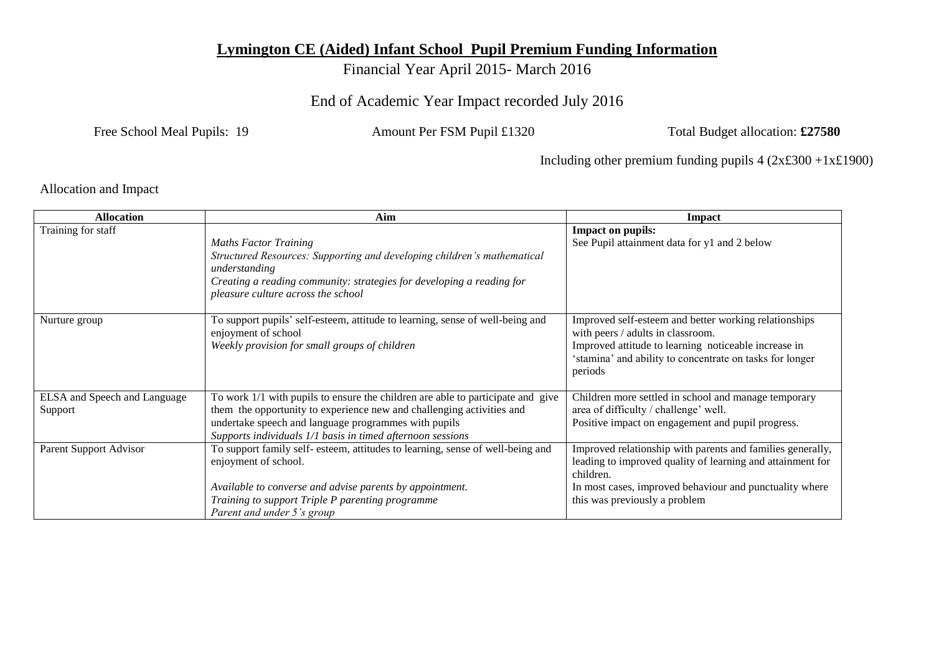## **Lymington CE (Aided) Infant School Pupil Premium Funding Information**

Financial Year April 2015- March 2016

End of Academic Year Impact recorded July 2016

Free School Meal Pupils: 19 Amount Per FSM Pupil £1320 Total Budget allocation: £27580

Including other premium funding pupils 4 (2x£300 +1x£1900)

Allocation and Impact

| <b>Allocation</b>                       | Aim                                                                                                                                                                                                                                                                            | <b>Impact</b>                                                                                                                                                                                                                     |
|-----------------------------------------|--------------------------------------------------------------------------------------------------------------------------------------------------------------------------------------------------------------------------------------------------------------------------------|-----------------------------------------------------------------------------------------------------------------------------------------------------------------------------------------------------------------------------------|
| Training for staff                      | <b>Maths Factor Training</b><br>Structured Resources: Supporting and developing children's mathematical<br>understanding<br>Creating a reading community: strategies for developing a reading for<br>pleasure culture across the school                                        | <b>Impact on pupils:</b><br>See Pupil attainment data for y1 and 2 below                                                                                                                                                          |
| Nurture group                           | To support pupils' self-esteem, attitude to learning, sense of well-being and<br>enjoyment of school<br>Weekly provision for small groups of children                                                                                                                          | Improved self-esteem and better working relationships<br>with peers / adults in classroom.<br>Improved attitude to learning noticeable increase in<br>'stamina' and ability to concentrate on tasks for longer<br>periods         |
| ELSA and Speech and Language<br>Support | To work 1/1 with pupils to ensure the children are able to participate and give<br>them the opportunity to experience new and challenging activities and<br>undertake speech and language programmes with pupils<br>Supports individuals 1/1 basis in timed afternoon sessions | Children more settled in school and manage temporary<br>area of difficulty / challenge' well.<br>Positive impact on engagement and pupil progress.                                                                                |
| Parent Support Advisor                  | To support family self- esteem, attitudes to learning, sense of well-being and<br>enjoyment of school.<br>Available to converse and advise parents by appointment.<br>Training to support Triple P parenting programme<br>Parent and under 5's group                           | Improved relationship with parents and families generally,<br>leading to improved quality of learning and attainment for<br>children.<br>In most cases, improved behaviour and punctuality where<br>this was previously a problem |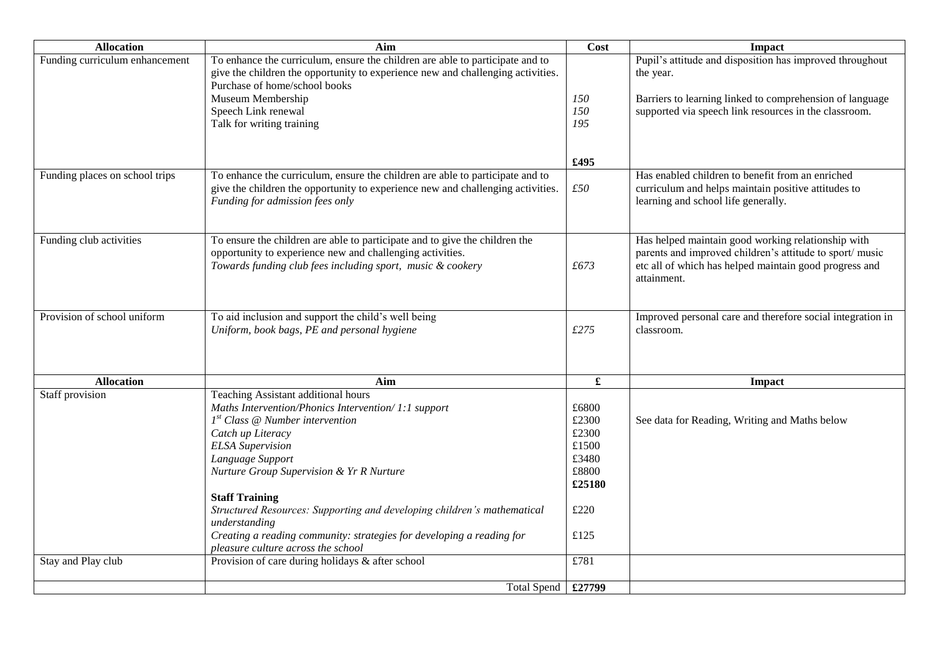| <b>Allocation</b>              | Aim                                                                                                                                                              | Cost                 | Impact                                                                |
|--------------------------------|------------------------------------------------------------------------------------------------------------------------------------------------------------------|----------------------|-----------------------------------------------------------------------|
| Funding curriculum enhancement | To enhance the curriculum, ensure the children are able to participate and to<br>give the children the opportunity to experience new and challenging activities. |                      | Pupil's attitude and disposition has improved throughout<br>the year. |
|                                | Purchase of home/school books                                                                                                                                    |                      |                                                                       |
|                                | Museum Membership                                                                                                                                                | 150                  | Barriers to learning linked to comprehension of language              |
|                                | Speech Link renewal<br>Talk for writing training                                                                                                                 | 150<br>195           | supported via speech link resources in the classroom.                 |
|                                |                                                                                                                                                                  |                      |                                                                       |
|                                |                                                                                                                                                                  |                      |                                                                       |
|                                |                                                                                                                                                                  | £495                 |                                                                       |
| Funding places on school trips | To enhance the curriculum, ensure the children are able to participate and to                                                                                    |                      | Has enabled children to benefit from an enriched                      |
|                                | give the children the opportunity to experience new and challenging activities.                                                                                  | £50                  | curriculum and helps maintain positive attitudes to                   |
|                                | Funding for admission fees only                                                                                                                                  |                      | learning and school life generally.                                   |
|                                |                                                                                                                                                                  |                      |                                                                       |
| Funding club activities        | To ensure the children are able to participate and to give the children the                                                                                      |                      | Has helped maintain good working relationship with                    |
|                                | opportunity to experience new and challenging activities.                                                                                                        |                      | parents and improved children's attitude to sport/ music              |
|                                | Towards funding club fees including sport, music & cookery                                                                                                       | £673                 | etc all of which has helped maintain good progress and                |
|                                |                                                                                                                                                                  |                      | attainment.                                                           |
|                                |                                                                                                                                                                  |                      |                                                                       |
| Provision of school uniform    | To aid inclusion and support the child's well being                                                                                                              |                      | Improved personal care and therefore social integration in            |
|                                | Uniform, book bags, PE and personal hygiene                                                                                                                      | £275                 | classroom.                                                            |
|                                |                                                                                                                                                                  |                      |                                                                       |
|                                |                                                                                                                                                                  |                      |                                                                       |
| <b>Allocation</b>              | Aim                                                                                                                                                              | $\pmb{\mathfrak{L}}$ | <b>Impact</b>                                                         |
| Staff provision                | Teaching Assistant additional hours                                                                                                                              |                      |                                                                       |
|                                | Maths Intervention/Phonics Intervention/ 1:1 support                                                                                                             | £6800                |                                                                       |
|                                | $Ist Class @ Number intervention$                                                                                                                                | £2300                | See data for Reading, Writing and Maths below                         |
|                                | Catch up Literacy                                                                                                                                                | £2300                |                                                                       |
|                                | <b>ELSA</b> Supervision                                                                                                                                          | £1500                |                                                                       |
|                                | Language Support                                                                                                                                                 | £3480                |                                                                       |
|                                | Nurture Group Supervision & Yr R Nurture                                                                                                                         | £8800                |                                                                       |
|                                |                                                                                                                                                                  | £25180               |                                                                       |
|                                | <b>Staff Training</b>                                                                                                                                            |                      |                                                                       |
|                                | Structured Resources: Supporting and developing children's mathematical                                                                                          | £220                 |                                                                       |
|                                | understanding                                                                                                                                                    |                      |                                                                       |
|                                | Creating a reading community: strategies for developing a reading for<br>pleasure culture across the school                                                      | £125                 |                                                                       |
| Stay and Play club             | Provision of care during holidays & after school                                                                                                                 | £781                 |                                                                       |
|                                |                                                                                                                                                                  |                      |                                                                       |
|                                | Total Spend   £27799                                                                                                                                             |                      |                                                                       |